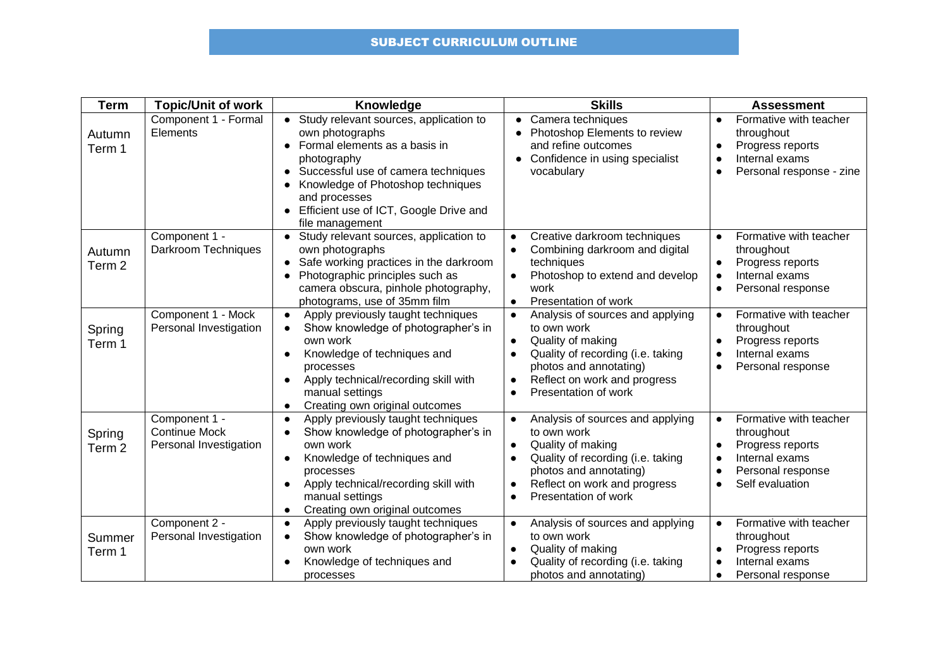## SUBJECT CURRICULUM OUTLINE

| <b>Term</b>                 | <b>Topic/Unit of work</b>                                       | Knowledge                                                                                                                                                                                                                                                             | <b>Skills</b>                                                                                                                                                                                                                      | <b>Assessment</b>                                                                                                                                                      |
|-----------------------------|-----------------------------------------------------------------|-----------------------------------------------------------------------------------------------------------------------------------------------------------------------------------------------------------------------------------------------------------------------|------------------------------------------------------------------------------------------------------------------------------------------------------------------------------------------------------------------------------------|------------------------------------------------------------------------------------------------------------------------------------------------------------------------|
| Autumn<br>Term 1            | Component 1 - Formal<br>Elements                                | • Study relevant sources, application to<br>own photographs<br>Formal elements as a basis in<br>photography<br>Successful use of camera techniques<br>Knowledge of Photoshop techniques<br>and processes<br>Efficient use of ICT, Google Drive and<br>file management | Camera techniques<br>Photoshop Elements to review<br>and refine outcomes<br>Confidence in using specialist<br>$\bullet$<br>vocabulary                                                                                              | Formative with teacher<br>$\bullet$<br>throughout<br>Progress reports<br>$\bullet$<br>Internal exams<br>$\bullet$<br>Personal response - zine<br>$\bullet$             |
| Autumn<br>Term <sub>2</sub> | Component 1 -<br>Darkroom Techniques                            | Study relevant sources, application to<br>$\bullet$<br>own photographs<br>Safe working practices in the darkroom<br>Photographic principles such as<br>camera obscura, pinhole photography,<br>photograms, use of 35mm film                                           | Creative darkroom techniques<br>Combining darkroom and digital<br>techniques<br>Photoshop to extend and develop<br>$\bullet$<br>work<br>Presentation of work<br>$\bullet$                                                          | Formative with teacher<br>$\bullet$<br>throughout<br>Progress reports<br>$\bullet$<br>Internal exams<br>$\bullet$<br>Personal response<br>$\bullet$                    |
| Spring<br>Term 1            | Component 1 - Mock<br>Personal Investigation                    | Apply previously taught techniques<br>$\bullet$<br>Show knowledge of photographer's in<br>own work<br>Knowledge of techniques and<br>processes<br>Apply technical/recording skill with<br>$\bullet$<br>manual settings<br>Creating own original outcomes              | Analysis of sources and applying<br>$\bullet$<br>to own work<br>Quality of making<br>$\bullet$<br>Quality of recording (i.e. taking<br>photos and annotating)<br>Reflect on work and progress<br>Presentation of work<br>$\bullet$ | Formative with teacher<br>$\bullet$<br>throughout<br>Progress reports<br>Internal exams<br>$\bullet$<br>Personal response<br>$\bullet$                                 |
| Spring<br>Term <sub>2</sub> | Component 1 -<br><b>Continue Mock</b><br>Personal Investigation | Apply previously taught techniques<br>$\bullet$<br>Show knowledge of photographer's in<br>own work<br>Knowledge of techniques and<br>processes<br>Apply technical/recording skill with<br>manual settings<br>Creating own original outcomes<br>$\bullet$              | Analysis of sources and applying<br>$\bullet$<br>to own work<br>Quality of making<br>Quality of recording (i.e. taking<br>photos and annotating)<br>Reflect on work and progress<br>Presentation of work<br>$\bullet$              | Formative with teacher<br>$\bullet$<br>throughout<br>Progress reports<br>Internal exams<br>$\bullet$<br>Personal response<br>$\bullet$<br>Self evaluation<br>$\bullet$ |
| Summer<br>Term 1            | Component 2 -<br>Personal Investigation                         | Apply previously taught techniques<br>$\bullet$<br>Show knowledge of photographer's in<br>own work<br>Knowledge of techniques and<br>processes                                                                                                                        | Analysis of sources and applying<br>to own work<br>Quality of making<br>$\bullet$<br>Quality of recording (i.e. taking<br>photos and annotating)                                                                                   | Formative with teacher<br>$\bullet$<br>throughout<br>Progress reports<br>Internal exams<br>Personal response                                                           |